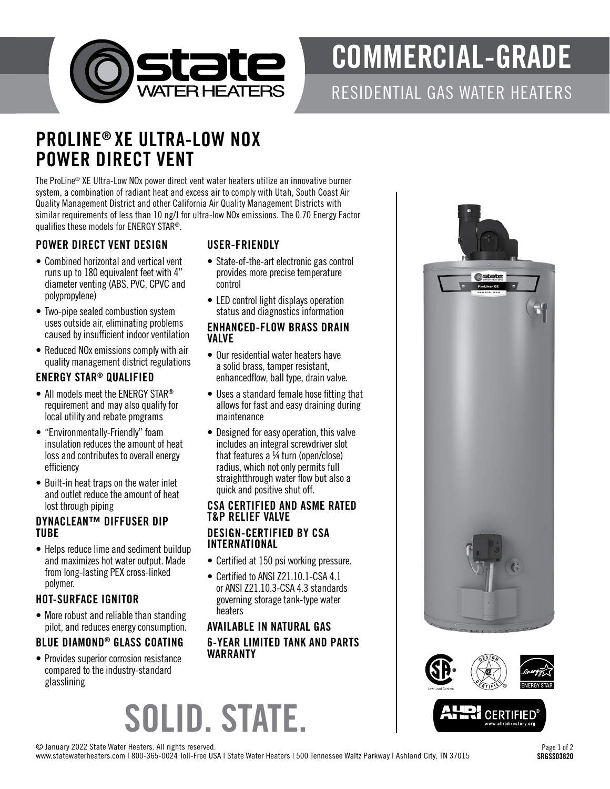

# COMMERCIAL-GRADE

RESIDENTIAL GAS WATER HEATERS

## PROLINE® XE ULTRA-LOW NOX POWER DIRECT VENT

The ProLine® XE Ultra-Low NOx power direct vent water heaters utilize an innovative burner system, a combination of radiant heat and excess air to comply with Utah, South Coast Air Quality Management District and other California Air Quality Management Districts with similar requirements of less than 10 ng/J for ultra-low NOx emissions. The 0.70 Energy Factor qualifies these models for ENERGY STAR®.

#### POWER DIRECT VENT DESIGN

- Combined horizontal and vertical vent runs up to 180 equivalent feet with 4" diameter venting (ABS, PVC, CPVC and polypropylene)
- Two-pipe sealed combustion system uses outside air, eliminating problems caused by insufficient indoor ventilation
- Reduced NOx emissions comply with air quality management district regulations

#### ENERGY STAR® QUALIFIED

- All models meet the ENERGY STAR<sup>®</sup> requirement and may also qualify for local utility and rebate programs
- "Environmentally-Friendly" foam insulation reduces the amount of heat loss and contributes to overall energy efficiency
- Built-in heat traps on the water inlet and outlet reduce the amount of heat lost through piping

#### DYNACLEAN™ DIFFUSER DIP TUBE

• Helps reduce lime and sediment buildup and maximizes hot water output. Made from long-lasting PEX cross-linked polymer.

#### HOT-SURFACE IGNITOR

• More robust and reliable than standing pilot, and reduces energy consumption.

#### BLUE DIAMOND® GLASS COATING

• Provides superior corrosion resistance compared to the industry-standard glasslining

#### USER-FRIENDLY

- State-of-the-art electronic gas control provides more precise temperature control
- LED control light displays operation status and diagnostics information

#### ENHANCED-FLOW BRASS DRAIN VALVE

- Our residential water heaters have a solid brass, tamper resistant, enhancedflow, ball type, drain valve.
- Uses a standard female hose fitting that allows for fast and easy draining during maintenance
- Designed for easy operation, this valve includes an integral screwdriver slot that features a ¼ turn (open/close) radius, which not only permits full straightthrough water flow but also a quick and positive shut off.

#### CSA CERTIFIED AND ASME RATED T&P RELIEF VALVE DESIGN-CERTIFIED BY CSA INTERNATIONAL

- Certified at 150 psi working pressure.
- Certified to ANSI Z21.10.1-CSA 4.1 or ANSI Z21.10.3-CSA 4.3 standards governing storage tank-type water heaters

#### AVAILABLE IN NATURAL GAS 6-YEAR LIMITED TANK AND PARTS WARRANTY







© January 2022 State Water Heaters. All rights reserved.

www.statewaterheaters.com | 800-365-0024 Toll-Free USA | State Water Heaters | 500 Tennessee Waltz Parkway | Ashland City, TN 37015

SOLID. STATE.